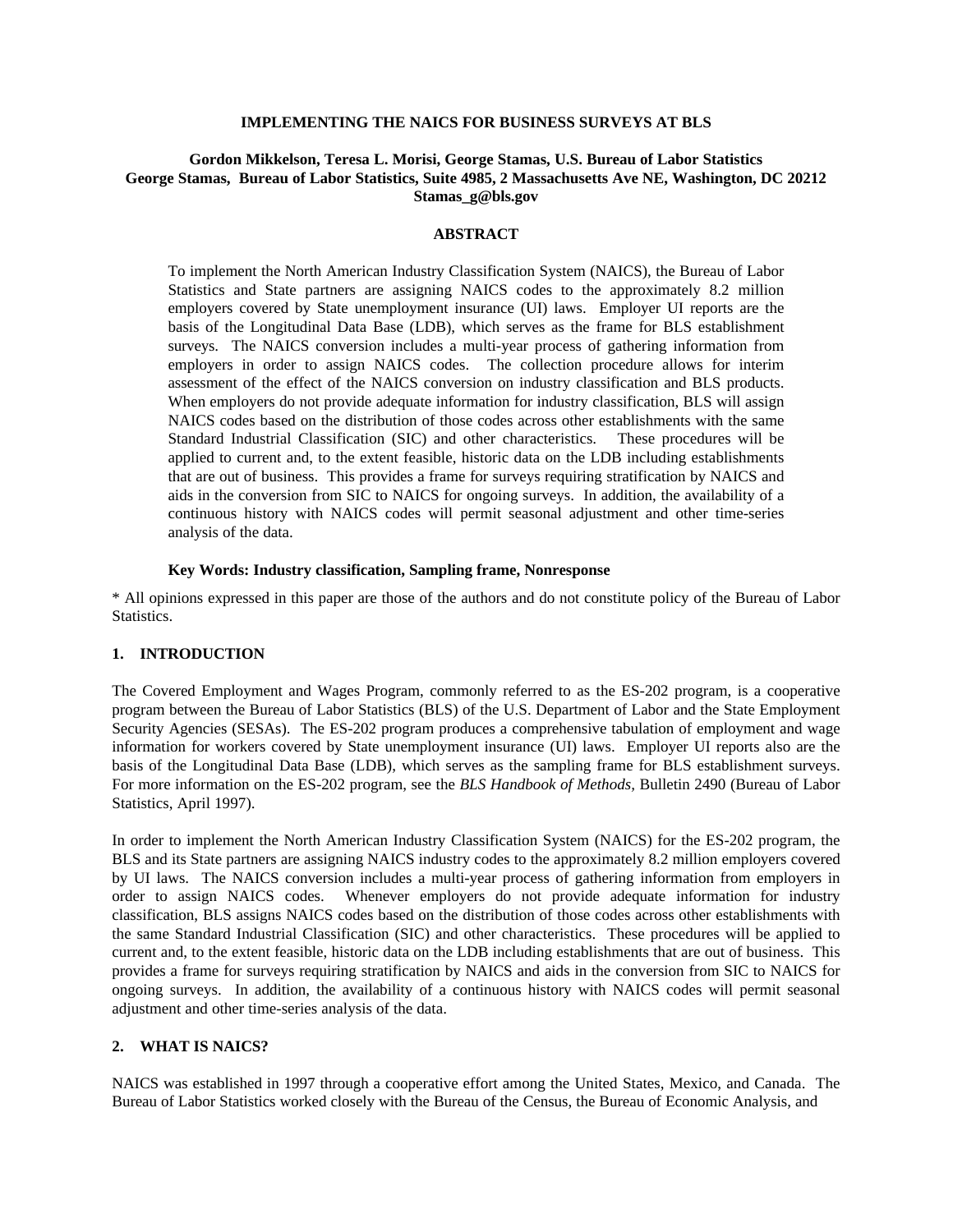#### **IMPLEMENTING THE NAICS FOR BUSINESS SURVEYS AT BLS**

## **Gordon Mikkelson, Teresa L. Morisi, George Stamas, U.S. Bureau of Labor Statistics George Stamas, Bureau of Labor Statistics, Suite 4985, 2 Massachusetts Ave NE, Washington, DC 20212 Stamas\_g@bls.gov**

#### **ABSTRACT**

To implement the North American Industry Classification System (NAICS), the Bureau of Labor Statistics and State partners are assigning NAICS codes to the approximately 8.2 million employers covered by State unemployment insurance (UI) laws. Employer UI reports are the basis of the Longitudinal Data Base (LDB), which serves as the frame for BLS establishment surveys. The NAICS conversion includes a multi-year process of gathering information from employers in order to assign NAICS codes. The collection procedure allows for interim assessment of the effect of the NAICS conversion on industry classification and BLS products. When employers do not provide adequate information for industry classification, BLS will assign NAICS codes based on the distribution of those codes across other establishments with the same Standard Industrial Classification (SIC) and other characteristics. These procedures will be applied to current and, to the extent feasible, historic data on the LDB including establishments that are out of business. This provides a frame for surveys requiring stratification by NAICS and aids in the conversion from SIC to NAICS for ongoing surveys. In addition, the availability of a continuous history with NAICS codes will permit seasonal adjustment and other time-series analysis of the data.

#### **Key Words: Industry classification, Sampling frame, Nonresponse**

\* All opinions expressed in this paper are those of the authors and do not constitute policy of the Bureau of Labor Statistics.

#### **1. INTRODUCTION**

The Covered Employment and Wages Program, commonly referred to as the ES-202 program, is a cooperative program between the Bureau of Labor Statistics (BLS) of the U.S. Department of Labor and the State Employment Security Agencies (SESAs). The ES-202 program produces a comprehensive tabulation of employment and wage information for workers covered by State unemployment insurance (UI) laws. Employer UI reports also are the basis of the Longitudinal Data Base (LDB), which serves as the sampling frame for BLS establishment surveys. For more information on the ES-202 program, see the *BLS Handbook of Methods,* Bulletin 2490 (Bureau of Labor Statistics, April 1997).

In order to implement the North American Industry Classification System (NAICS) for the ES-202 program, the BLS and its State partners are assigning NAICS industry codes to the approximately 8.2 million employers covered by UI laws. The NAICS conversion includes a multi-year process of gathering information from employers in order to assign NAICS codes. Whenever employers do not provide adequate information for industry classification, BLS assigns NAICS codes based on the distribution of those codes across other establishments with the same Standard Industrial Classification (SIC) and other characteristics. These procedures will be applied to current and, to the extent feasible, historic data on the LDB including establishments that are out of business. This provides a frame for surveys requiring stratification by NAICS and aids in the conversion from SIC to NAICS for ongoing surveys. In addition, the availability of a continuous history with NAICS codes will permit seasonal adjustment and other time-series analysis of the data.

## **2. WHAT IS NAICS?**

NAICS was established in 1997 through a cooperative effort among the United States, Mexico, and Canada. The Bureau of Labor Statistics worked closely with the Bureau of the Census, the Bureau of Economic Analysis, and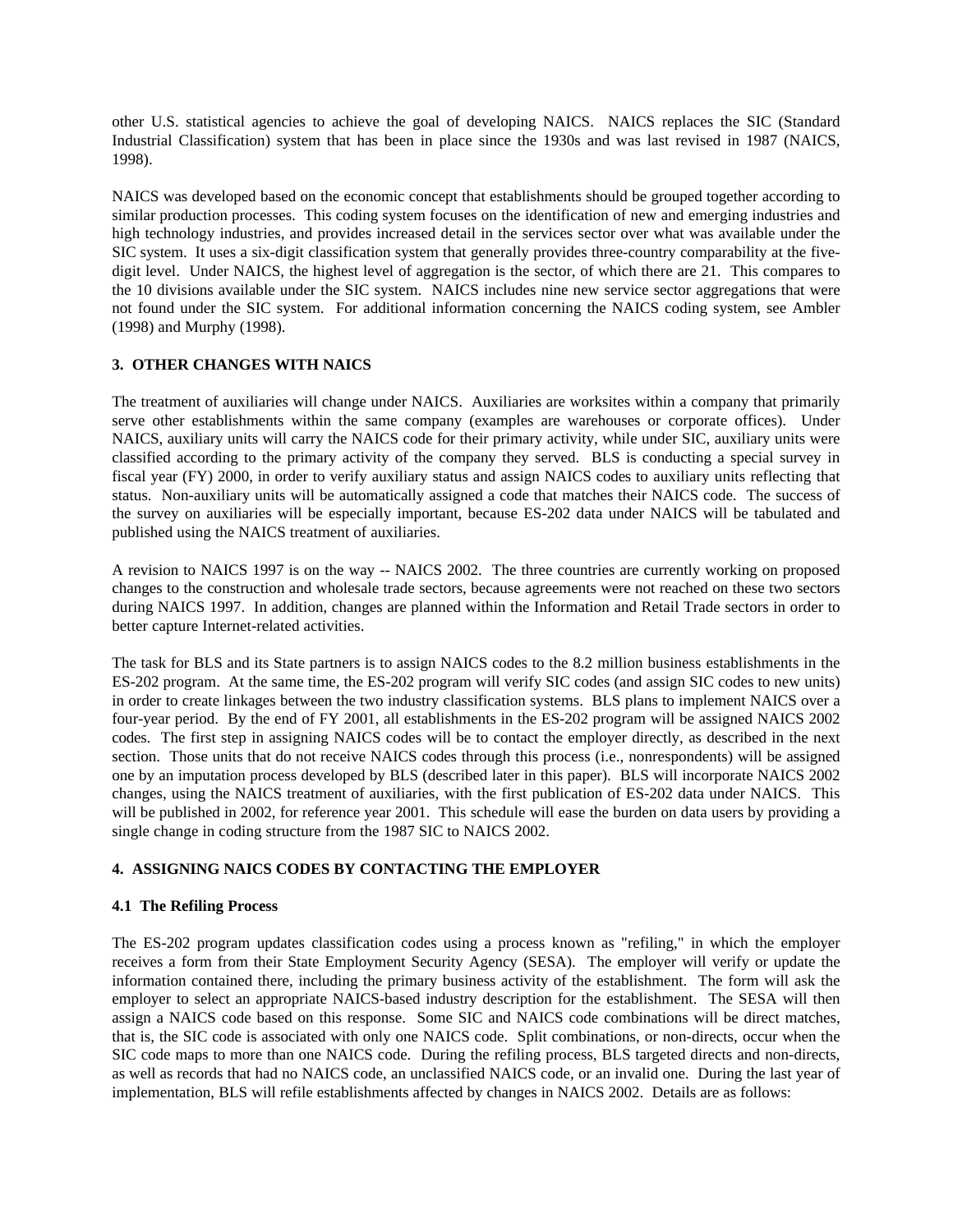other U.S. statistical agencies to achieve the goal of developing NAICS. NAICS replaces the SIC (Standard Industrial Classification) system that has been in place since the 1930s and was last revised in 1987 (NAICS, 1998).

NAICS was developed based on the economic concept that establishments should be grouped together according to similar production processes. This coding system focuses on the identification of new and emerging industries and high technology industries, and provides increased detail in the services sector over what was available under the SIC system. It uses a six-digit classification system that generally provides three-country comparability at the fivedigit level. Under NAICS, the highest level of aggregation is the sector, of which there are 21. This compares to the 10 divisions available under the SIC system. NAICS includes nine new service sector aggregations that were not found under the SIC system. For additional information concerning the NAICS coding system, see Ambler (1998) and Murphy (1998).

# **3. OTHER CHANGES WITH NAICS**

The treatment of auxiliaries will change under NAICS. Auxiliaries are worksites within a company that primarily serve other establishments within the same company (examples are warehouses or corporate offices). Under NAICS, auxiliary units will carry the NAICS code for their primary activity, while under SIC, auxiliary units were classified according to the primary activity of the company they served. BLS is conducting a special survey in fiscal year (FY) 2000, in order to verify auxiliary status and assign NAICS codes to auxiliary units reflecting that status. Non-auxiliary units will be automatically assigned a code that matches their NAICS code. The success of the survey on auxiliaries will be especially important, because ES-202 data under NAICS will be tabulated and published using the NAICS treatment of auxiliaries.

A revision to NAICS 1997 is on the way -- NAICS 2002. The three countries are currently working on proposed changes to the construction and wholesale trade sectors, because agreements were not reached on these two sectors during NAICS 1997. In addition, changes are planned within the Information and Retail Trade sectors in order to better capture Internet-related activities.

The task for BLS and its State partners is to assign NAICS codes to the 8.2 million business establishments in the ES-202 program. At the same time, the ES-202 program will verify SIC codes (and assign SIC codes to new units) in order to create linkages between the two industry classification systems. BLS plans to implement NAICS over a four-year period. By the end of FY 2001, all establishments in the ES-202 program will be assigned NAICS 2002 codes. The first step in assigning NAICS codes will be to contact the employer directly, as described in the next section. Those units that do not receive NAICS codes through this process (i.e., nonrespondents) will be assigned one by an imputation process developed by BLS (described later in this paper). BLS will incorporate NAICS 2002 changes, using the NAICS treatment of auxiliaries, with the first publication of ES-202 data under NAICS. This will be published in 2002, for reference year 2001. This schedule will ease the burden on data users by providing a single change in coding structure from the 1987 SIC to NAICS 2002.

# **4. ASSIGNING NAICS CODES BY CONTACTING THE EMPLOYER**

# **4.1 The Refiling Process**

The ES-202 program updates classification codes using a process known as "refiling," in which the employer receives a form from their State Employment Security Agency (SESA). The employer will verify or update the information contained there, including the primary business activity of the establishment. The form will ask the employer to select an appropriate NAICS-based industry description for the establishment. The SESA will then assign a NAICS code based on this response. Some SIC and NAICS code combinations will be direct matches, that is, the SIC code is associated with only one NAICS code. Split combinations, or non-directs, occur when the SIC code maps to more than one NAICS code. During the refiling process, BLS targeted directs and non-directs, as well as records that had no NAICS code, an unclassified NAICS code, or an invalid one. During the last year of implementation, BLS will refile establishments affected by changes in NAICS 2002. Details are as follows: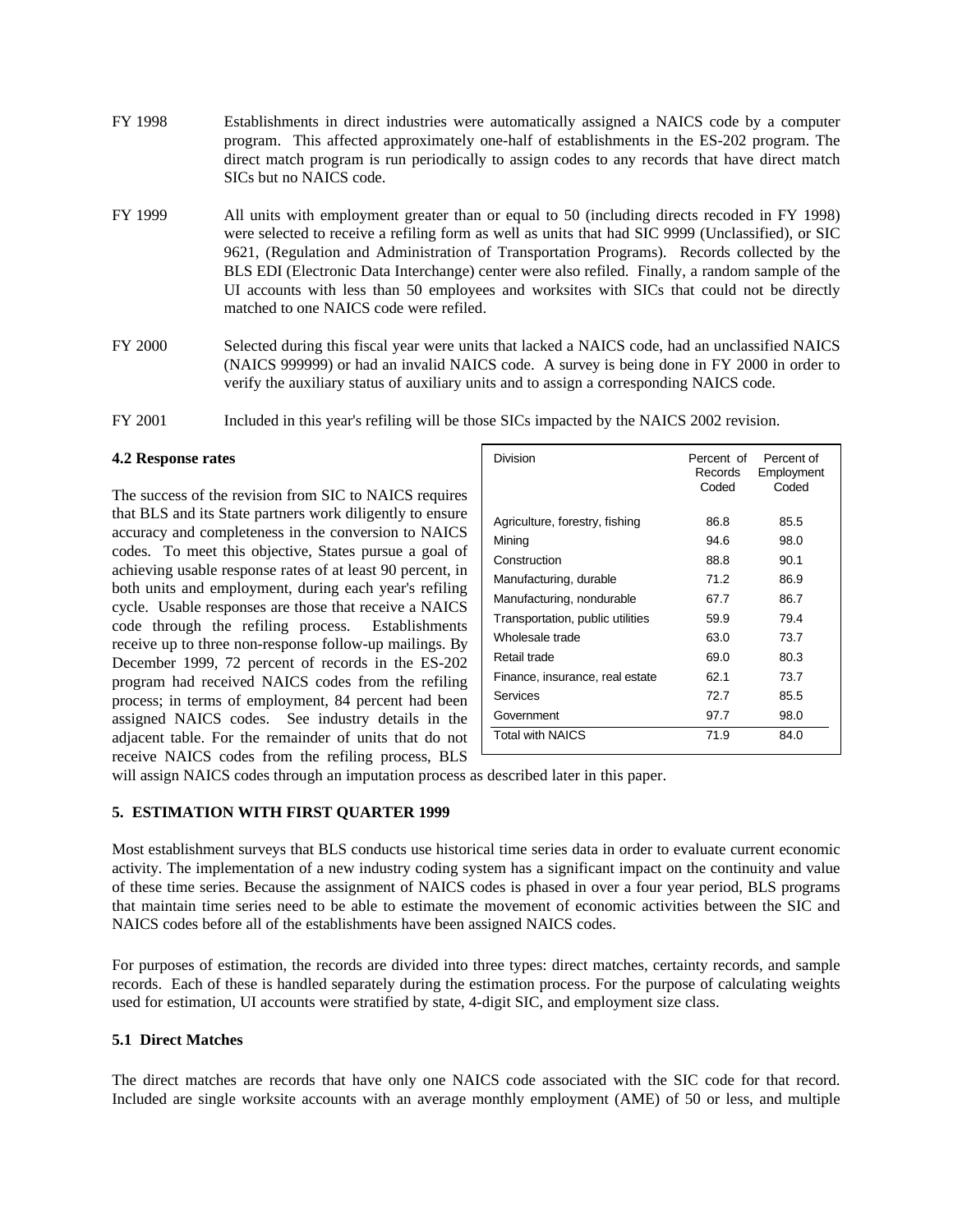- FY 1998 Establishments in direct industries were automatically assigned a NAICS code by a computer program. This affected approximately one-half of establishments in the ES-202 program. The direct match program is run periodically to assign codes to any records that have direct match SICs but no NAICS code.
- FY 1999 All units with employment greater than or equal to 50 (including directs recoded in FY 1998) were selected to receive a refiling form as well as units that had SIC 9999 (Unclassified), or SIC 9621, (Regulation and Administration of Transportation Programs). Records collected by the BLS EDI (Electronic Data Interchange) center were also refiled. Finally, a random sample of the UI accounts with less than 50 employees and worksites with SICs that could not be directly matched to one NAICS code were refiled.
- FY 2000 Selected during this fiscal year were units that lacked a NAICS code, had an unclassified NAICS (NAICS 999999) or had an invalid NAICS code. A survey is being done in FY 2000 in order to verify the auxiliary status of auxiliary units and to assign a corresponding NAICS code.
- FY 2001 Included in this year's refiling will be those SICs impacted by the NAICS 2002 revision.

#### **4.2 Response rates**

The success of the revision from SIC to NAICS requires that BLS and its State partners work diligently to ensure accuracy and completeness in the conversion to NAICS codes. To meet this objective, States pursue a goal of achieving usable response rates of at least 90 percent, in both units and employment, during each year's refiling cycle. Usable responses are those that receive a NAICS code through the refiling process. Establishments receive up to three non-response follow-up mailings. By December 1999, 72 percent of records in the ES-202 program had received NAICS codes from the refiling process; in terms of employment, 84 percent had been assigned NAICS codes. See industry details in the adjacent table. For the remainder of units that do not receive NAICS codes from the refiling process, BLS

| Division                         | Percent of<br>Records<br>Coded | Percent of<br>Employment<br>Coded |
|----------------------------------|--------------------------------|-----------------------------------|
| Agriculture, forestry, fishing   | 86.8                           | 85.5                              |
| Mining                           | 94.6                           | 98.0                              |
| Construction                     | 88.8                           | 90.1                              |
| Manufacturing, durable           | 71.2                           | 86.9                              |
| Manufacturing, nondurable        | 67.7                           | 86.7                              |
| Transportation, public utilities | 59.9                           | 79.4                              |
| Wholesale trade                  | 63.0                           | 73.7                              |
| Retail trade                     | 69.0                           | 80.3                              |
| Finance, insurance, real estate  | 62.1                           | 73.7                              |
| Services                         | 72.7                           | 85.5                              |
| Government                       | 97.7                           | 98.0                              |
| <b>Total with NAICS</b>          | 71.9                           | 84.0                              |
|                                  |                                |                                   |

will assign NAICS codes through an imputation process as described later in this paper.

# **5. ESTIMATION WITH FIRST QUARTER 1999**

Most establishment surveys that BLS conducts use historical time series data in order to evaluate current economic activity. The implementation of a new industry coding system has a significant impact on the continuity and value of these time series. Because the assignment of NAICS codes is phased in over a four year period, BLS programs that maintain time series need to be able to estimate the movement of economic activities between the SIC and NAICS codes before all of the establishments have been assigned NAICS codes.

For purposes of estimation, the records are divided into three types: direct matches, certainty records, and sample records. Each of these is handled separately during the estimation process. For the purpose of calculating weights used for estimation, UI accounts were stratified by state, 4-digit SIC, and employment size class.

#### **5.1 Direct Matches**

The direct matches are records that have only one NAICS code associated with the SIC code for that record. Included are single worksite accounts with an average monthly employment (AME) of 50 or less, and multiple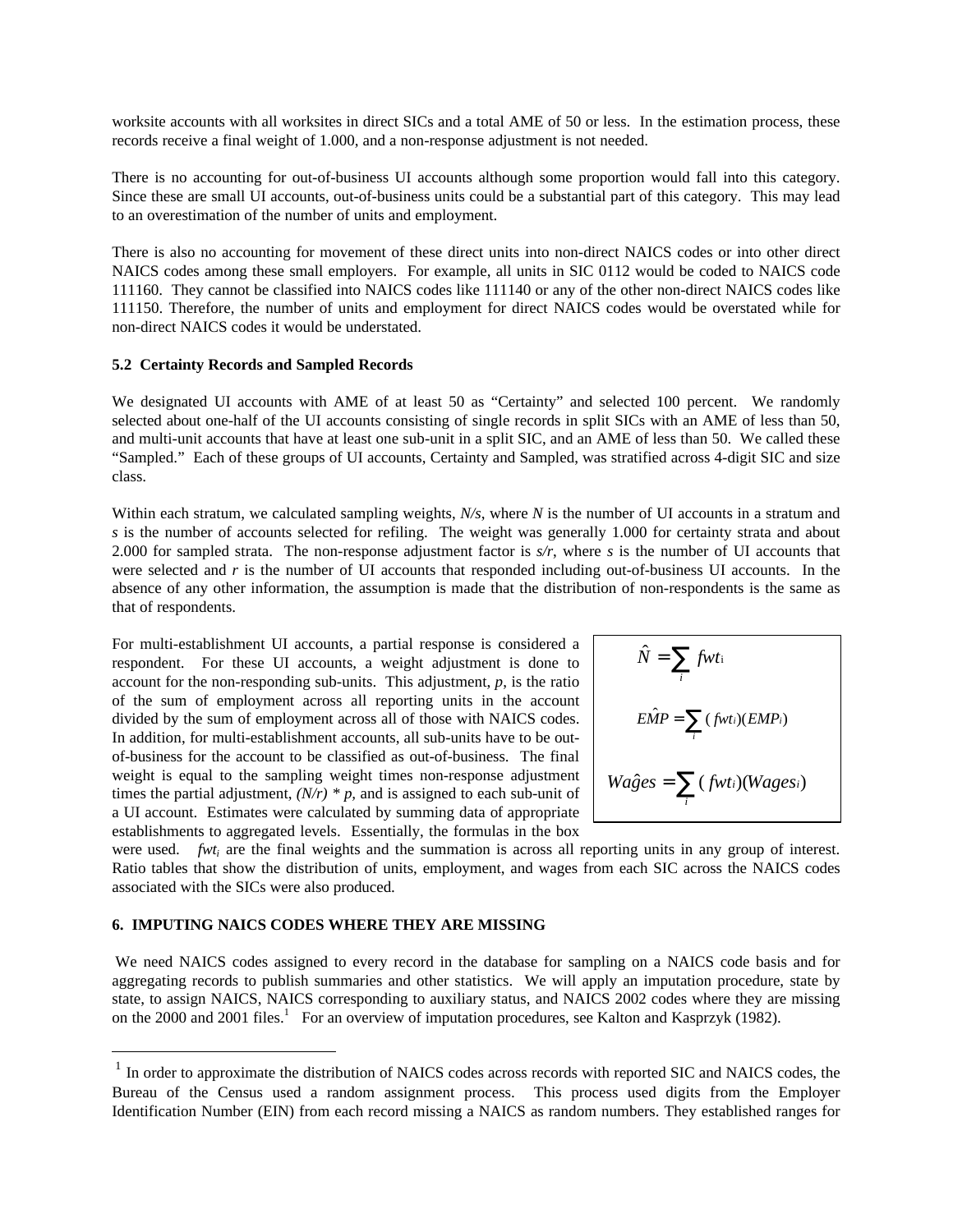worksite accounts with all worksites in direct SICs and a total AME of 50 or less. In the estimation process, these records receive a final weight of 1.000, and a non-response adjustment is not needed.

There is no accounting for out-of-business UI accounts although some proportion would fall into this category. Since these are small UI accounts, out-of-business units could be a substantial part of this category. This may lead to an overestimation of the number of units and employment.

There is also no accounting for movement of these direct units into non-direct NAICS codes or into other direct NAICS codes among these small employers. For example, all units in SIC 0112 would be coded to NAICS code 111160. They cannot be classified into NAICS codes like 111140 or any of the other non-direct NAICS codes like 111150. Therefore, the number of units and employment for direct NAICS codes would be overstated while for non-direct NAICS codes it would be understated.

#### **5.2 Certainty Records and Sampled Records**

We designated UI accounts with AME of at least 50 as "Certainty" and selected 100 percent. We randomly selected about one-half of the UI accounts consisting of single records in split SICs with an AME of less than 50, and multi-unit accounts that have at least one sub-unit in a split SIC, and an AME of less than 50. We called these "Sampled." Each of these groups of UI accounts, Certainty and Sampled, was stratified across 4-digit SIC and size class.

Within each stratum, we calculated sampling weights, *N/s*, where *N* is the number of UI accounts in a stratum and *s* is the number of accounts selected for refiling. The weight was generally 1.000 for certainty strata and about 2.000 for sampled strata. The non-response adjustment factor is *s/r*, where *s* is the number of UI accounts that were selected and *r* is the number of UI accounts that responded including out-of-business UI accounts. In the absence of any other information, the assumption is made that the distribution of non-respondents is the same as that of respondents.

For multi-establishment UI accounts, a partial response is considered a respondent. For these UI accounts, a weight adjustment is done to account for the non-responding sub-units. This adjustment, *p*, is the ratio of the sum of employment across all reporting units in the account divided by the sum of employment across all of those with NAICS codes. In addition, for multi-establishment accounts, all sub-units have to be outof-business for the account to be classified as out-of-business. The final weight is equal to the sampling weight times non-response adjustment times the partial adjustment,  $(N/r) * p$ , and is assigned to each sub-unit of a UI account. Estimates were calculated by summing data of appropriate establishments to aggregated levels. Essentially, the formulas in the box

$$
\hat{N} = \sum_{i} fwt_i
$$
  
\n
$$
E\hat{M}P = \sum_{i} (fwt_i)(EMP_i)
$$
  
\n
$$
Wa\hat{g}es = \sum_{i} (fwt_i)(Wages_i)
$$

were used. *fwt<sub>i</sub>* are the final weights and the summation is across all reporting units in any group of interest. Ratio tables that show the distribution of units, employment, and wages from each SIC across the NAICS codes associated with the SICs were also produced.

### **6. IMPUTING NAICS CODES WHERE THEY ARE MISSING**

 $\overline{a}$ 

We need NAICS codes assigned to every record in the database for sampling on a NAICS code basis and for aggregating records to publish summaries and other statistics. We will apply an imputation procedure, state by state, to assign NAICS, NAICS corresponding to auxiliary status, and NAICS 2002 codes where they are missing on the 2000 and 2001 files.<sup>1</sup> For an overview of imputation procedures, see Kalton and Kasprzyk (1982).

<sup>&</sup>lt;sup>1</sup> In order to approximate the distribution of NAICS codes across records with reported SIC and NAICS codes, the Bureau of the Census used a random assignment process. This process used digits from the Employer Identification Number (EIN) from each record missing a NAICS as random numbers. They established ranges for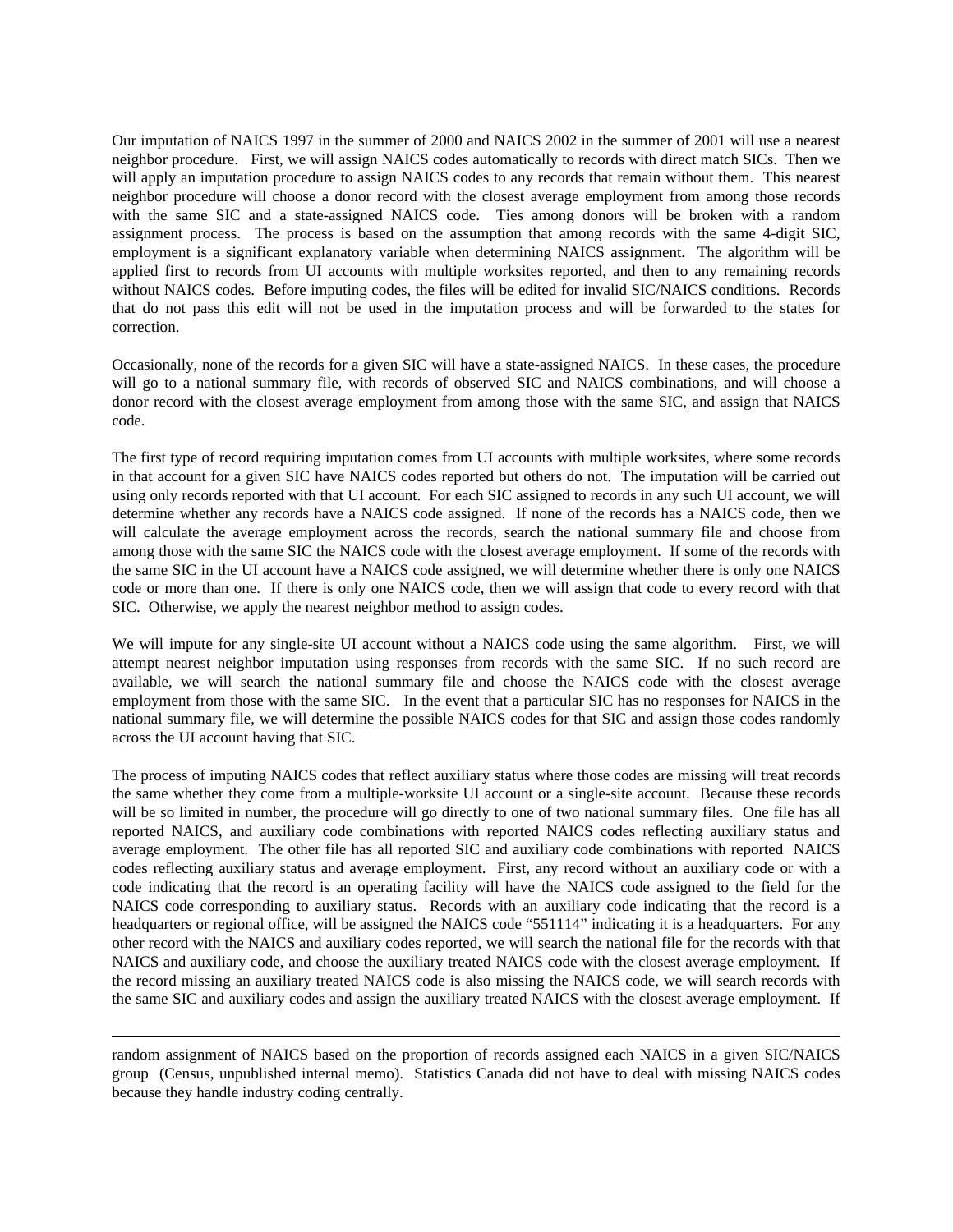Our imputation of NAICS 1997 in the summer of 2000 and NAICS 2002 in the summer of 2001 will use a nearest neighbor procedure. First, we will assign NAICS codes automatically to records with direct match SICs. Then we will apply an imputation procedure to assign NAICS codes to any records that remain without them. This nearest neighbor procedure will choose a donor record with the closest average employment from among those records with the same SIC and a state-assigned NAICS code. Ties among donors will be broken with a random assignment process. The process is based on the assumption that among records with the same 4-digit SIC, employment is a significant explanatory variable when determining NAICS assignment. The algorithm will be applied first to records from UI accounts with multiple worksites reported, and then to any remaining records without NAICS codes. Before imputing codes, the files will be edited for invalid SIC/NAICS conditions. Records that do not pass this edit will not be used in the imputation process and will be forwarded to the states for correction.

Occasionally, none of the records for a given SIC will have a state-assigned NAICS. In these cases, the procedure will go to a national summary file, with records of observed SIC and NAICS combinations, and will choose a donor record with the closest average employment from among those with the same SIC, and assign that NAICS code.

The first type of record requiring imputation comes from UI accounts with multiple worksites, where some records in that account for a given SIC have NAICS codes reported but others do not. The imputation will be carried out using only records reported with that UI account. For each SIC assigned to records in any such UI account, we will determine whether any records have a NAICS code assigned. If none of the records has a NAICS code, then we will calculate the average employment across the records, search the national summary file and choose from among those with the same SIC the NAICS code with the closest average employment. If some of the records with the same SIC in the UI account have a NAICS code assigned, we will determine whether there is only one NAICS code or more than one. If there is only one NAICS code, then we will assign that code to every record with that SIC. Otherwise, we apply the nearest neighbor method to assign codes.

We will impute for any single-site UI account without a NAICS code using the same algorithm. First, we will attempt nearest neighbor imputation using responses from records with the same SIC. If no such record are available, we will search the national summary file and choose the NAICS code with the closest average employment from those with the same SIC. In the event that a particular SIC has no responses for NAICS in the national summary file, we will determine the possible NAICS codes for that SIC and assign those codes randomly across the UI account having that SIC.

The process of imputing NAICS codes that reflect auxiliary status where those codes are missing will treat records the same whether they come from a multiple-worksite UI account or a single-site account. Because these records will be so limited in number, the procedure will go directly to one of two national summary files. One file has all reported NAICS, and auxiliary code combinations with reported NAICS codes reflecting auxiliary status and average employment. The other file has all reported SIC and auxiliary code combinations with reported NAICS codes reflecting auxiliary status and average employment. First, any record without an auxiliary code or with a code indicating that the record is an operating facility will have the NAICS code assigned to the field for the NAICS code corresponding to auxiliary status. Records with an auxiliary code indicating that the record is a headquarters or regional office, will be assigned the NAICS code "551114" indicating it is a headquarters. For any other record with the NAICS and auxiliary codes reported, we will search the national file for the records with that NAICS and auxiliary code, and choose the auxiliary treated NAICS code with the closest average employment. If the record missing an auxiliary treated NAICS code is also missing the NAICS code, we will search records with the same SIC and auxiliary codes and assign the auxiliary treated NAICS with the closest average employment. If

 $\overline{a}$ 

random assignment of NAICS based on the proportion of records assigned each NAICS in a given SIC/NAICS group (Census, unpublished internal memo). Statistics Canada did not have to deal with missing NAICS codes because they handle industry coding centrally.